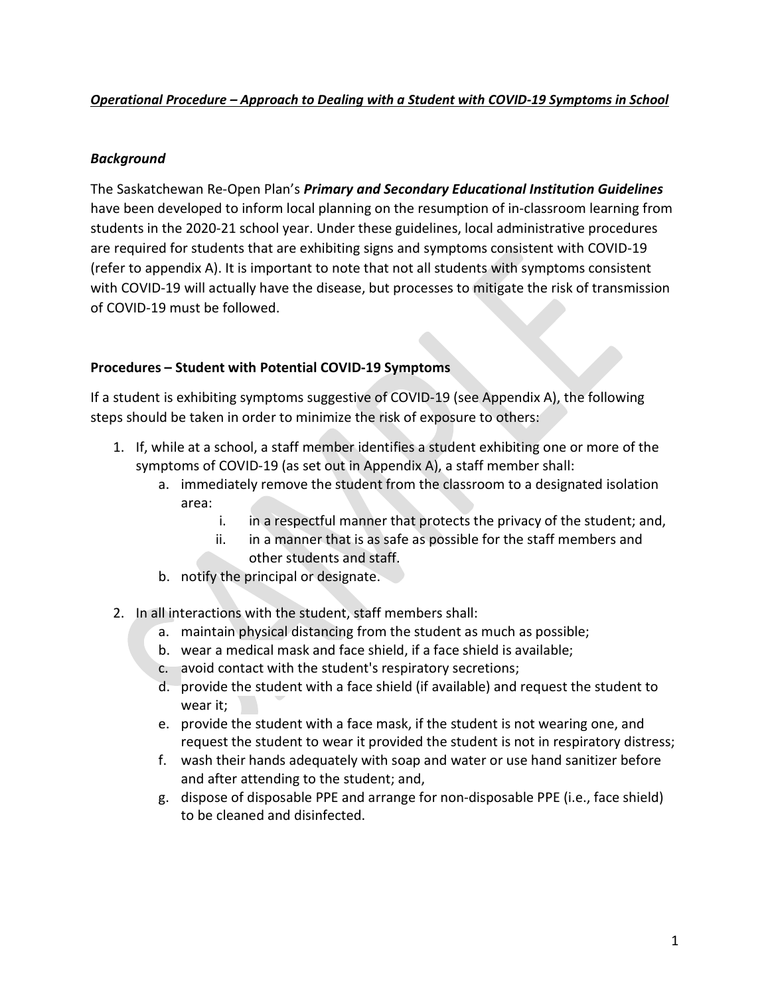Operational Procedure – Approach to Dealing with a Student with COVID-19 Symptoms in School

## Background

The Saskatchewan Re-Open Plan's Primary and Secondary Educational Institution Guidelines have been developed to inform local planning on the resumption of in-classroom learning from students in the 2020-21 school year. Under these guidelines, local administrative procedures are required for students that are exhibiting signs and symptoms consistent with COVID-19 (refer to appendix A). It is important to note that not all students with symptoms consistent with COVID-19 will actually have the disease, but processes to mitigate the risk of transmission of COVID-19 must be followed.

## Procedures – Student with Potential COVID-19 Symptoms

If a student is exhibiting symptoms suggestive of COVID-19 (see Appendix A), the following steps should be taken in order to minimize the risk of exposure to others:

- 1. If, while at a school, a staff member identifies a student exhibiting one or more of the symptoms of COVID-19 (as set out in Appendix A), a staff member shall:
	- a. immediately remove the student from the classroom to a designated isolation area:
		- i. in a respectful manner that protects the privacy of the student; and,
		- ii. in a manner that is as safe as possible for the staff members and other students and staff.
	- b. notify the principal or designate.
- 2. In all interactions with the student, staff members shall:
	- a. maintain physical distancing from the student as much as possible;
	- b. wear a medical mask and face shield, if a face shield is available;
	- c. avoid contact with the student's respiratory secretions;
	- d. provide the student with a face shield (if available) and request the student to wear it;
	- e. provide the student with a face mask, if the student is not wearing one, and request the student to wear it provided the student is not in respiratory distress;
	- f. wash their hands adequately with soap and water or use hand sanitizer before and after attending to the student; and,
	- g. dispose of disposable PPE and arrange for non-disposable PPE (i.e., face shield) to be cleaned and disinfected.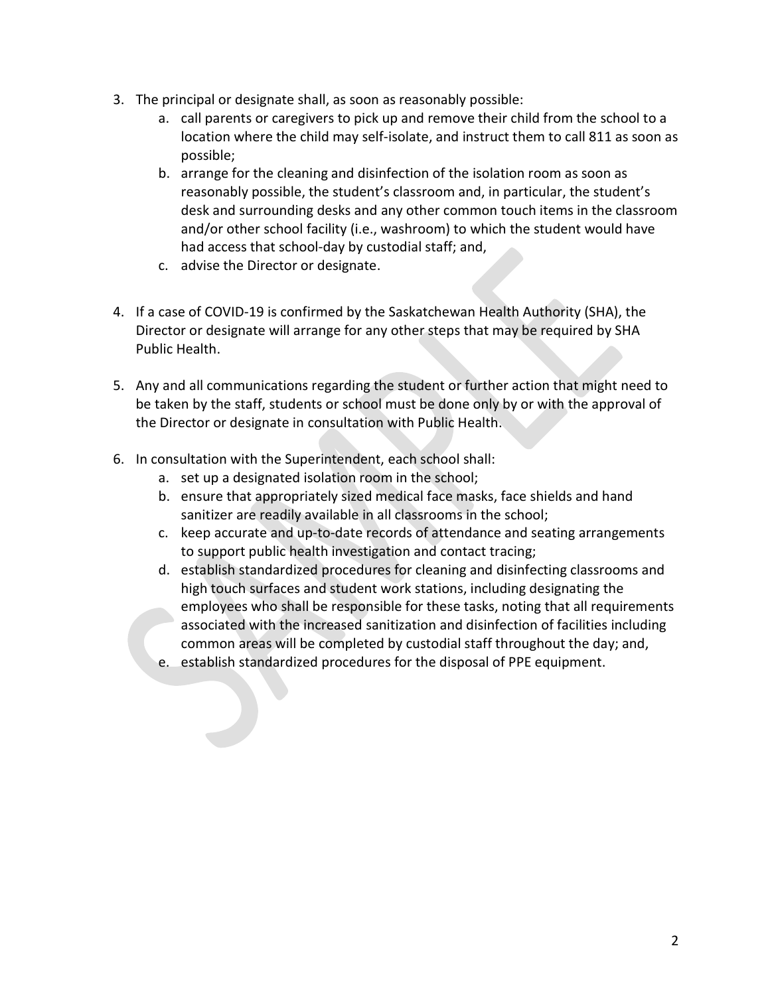- 3. The principal or designate shall, as soon as reasonably possible:
	- a. call parents or caregivers to pick up and remove their child from the school to a location where the child may self-isolate, and instruct them to call 811 as soon as possible;
	- b. arrange for the cleaning and disinfection of the isolation room as soon as reasonably possible, the student's classroom and, in particular, the student's desk and surrounding desks and any other common touch items in the classroom and/or other school facility (i.e., washroom) to which the student would have had access that school-day by custodial staff; and,
	- c. advise the Director or designate.
- 4. If a case of COVID-19 is confirmed by the Saskatchewan Health Authority (SHA), the Director or designate will arrange for any other steps that may be required by SHA Public Health.
- 5. Any and all communications regarding the student or further action that might need to be taken by the staff, students or school must be done only by or with the approval of the Director or designate in consultation with Public Health.
- 6. In consultation with the Superintendent, each school shall:
	- a. set up a designated isolation room in the school;
	- b. ensure that appropriately sized medical face masks, face shields and hand sanitizer are readily available in all classrooms in the school;
	- c. keep accurate and up-to-date records of attendance and seating arrangements to support public health investigation and contact tracing;
	- d. establish standardized procedures for cleaning and disinfecting classrooms and high touch surfaces and student work stations, including designating the employees who shall be responsible for these tasks, noting that all requirements associated with the increased sanitization and disinfection of facilities including common areas will be completed by custodial staff throughout the day; and,
	- e. establish standardized procedures for the disposal of PPE equipment.